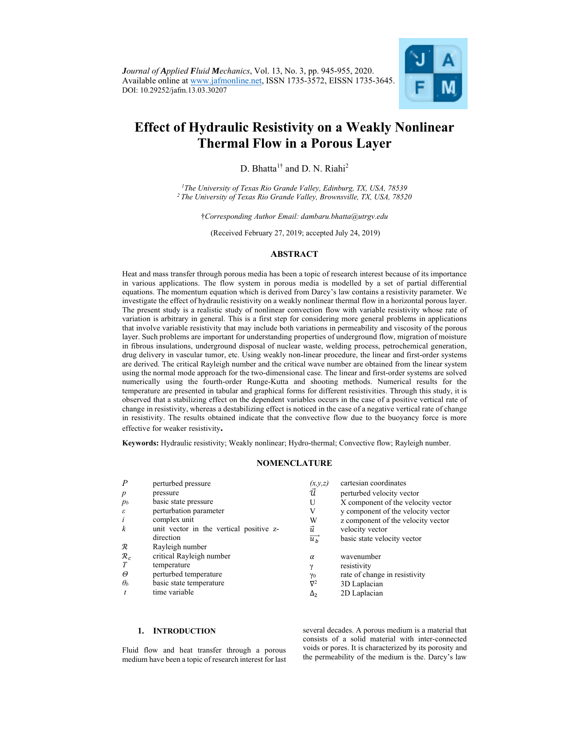

# **Effect of Hydraulic Resistivity on a Weakly Nonlinear Thermal Flow in a Porous Layer**

D. Bhatta<sup>1†</sup> and D. N. Riahi<sup>2</sup>

*1 The University of Texas Rio Grande Valley, Edinburg, TX, USA, 78539 2 The University of Texas Rio Grande Valley, Brownsville, TX, USA, 78520* 

†*Corresponding Author Email: dambaru.bhatta@utrgv.edu*

(Received February 27, 2019; accepted July 24, 2019)

# **ABSTRACT**

Heat and mass transfer through porous media has been a topic of research interest because of its importance in various applications. The flow system in porous media is modelled by a set of partial differential equations. The momentum equation which is derived from Darcy's law contains a resistivity parameter. We investigate the effect of hydraulic resistivity on a weakly nonlinear thermal flow in a horizontal porous layer. The present study is a realistic study of nonlinear convection flow with variable resistivity whose rate of variation is arbitrary in general. This is a first step for considering more general problems in applications that involve variable resistivity that may include both variations in permeability and viscosity of the porous layer. Such problems are important for understanding properties of underground flow, migration of moisture in fibrous insulations, underground disposal of nuclear waste, welding process, petrochemical generation, drug delivery in vascular tumor, etc. Using weakly non-linear procedure, the linear and first-order systems are derived. The critical Rayleigh number and the critical wave number are obtained from the linear system using the normal mode approach for the two-dimensional case. The linear and first-order systems are solved numerically using the fourth-order Runge-Kutta and shooting methods. Numerical results for the temperature are presented in tabular and graphical forms for different resistivities. Through this study, it is observed that a stabilizing effect on the dependent variables occurs in the case of a positive vertical rate of change in resistivity, whereas a destabilizing effect is noticed in the case of a negative vertical rate of change in resistivity. The results obtained indicate that the convective flow due to the buoyancy force is more effective for weaker resistivity**.** 

**Keywords:** Hydraulic resistivity; Weakly nonlinear; Hydro-thermal; Convective flow; Rayleigh number.

## **NOMENCLATURE**

| $\boldsymbol{P}$           | perturbed pressure                      | (x,y,z)                | cartesian coordinates              |
|----------------------------|-----------------------------------------|------------------------|------------------------------------|
| $\boldsymbol{p}$           | pressure                                | īÌ                     | perturbed velocity vector          |
| $p_b$                      | basic state pressure                    | U                      | X component of the velocity vector |
| $\boldsymbol{\varepsilon}$ | perturbation parameter                  | V                      | y component of the velocity vector |
| $\iota$                    | complex unit                            | W                      | z component of the velocity vector |
| $\boldsymbol{k}$           | unit vector in the vertical positive z- | ū                      | velocity vector                    |
|                            | direction                               | $\overrightarrow{u_h}$ | basic state velocity vector        |
| $\mathcal R$               | Rayleigh number                         |                        |                                    |
| $\mathcal{R}_c$            | critical Rayleigh number                | $\alpha$               | wavenumber                         |
|                            | temperature                             | γ                      | resistivity                        |
| Θ                          | perturbed temperature                   | $\gamma_0$             | rate of change in resistivity      |
| $\theta_b$                 | basic state temperature                 | $\nabla^2$             | 3D Laplacian                       |
|                            | time variable                           | $\Delta_2$             | 2D Laplacian                       |

## **1. INTRODUCTION**

Fluid flow and heat transfer through a porous medium have been a topic of research interest for last several decades. A porous medium is a material that consists of a solid material with inter-connected voids or pores. It is characterized by its porosity and the permeability of the medium is the. Darcy's law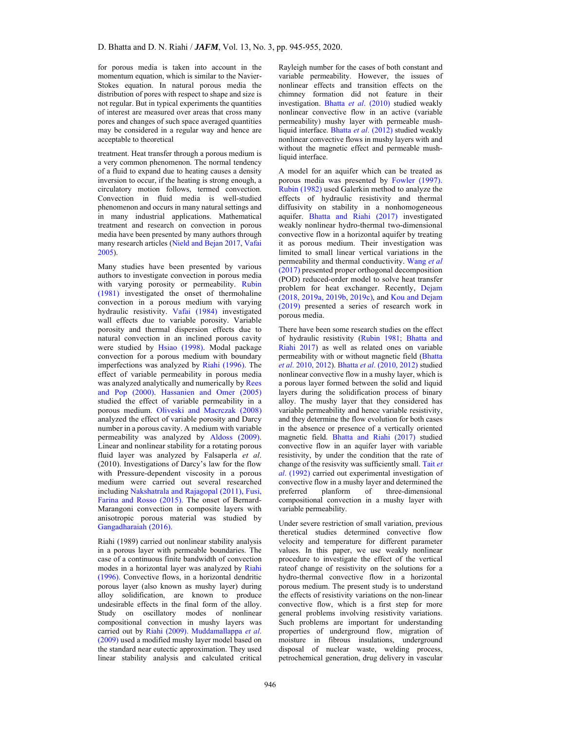for porous media is taken into account in the momentum equation, which is similar to the Navier-Stokes equation. In natural porous media the distribution of pores with respect to shape and size is not regular. But in typical experiments the quantities of interest are measured over areas that cross many pores and changes of such space averaged quantities may be considered in a regular way and hence are acceptable to theoretical

treatment. Heat transfer through a porous medium is a very common phenomenon. The normal tendency of a fluid to expand due to heating causes a density inversion to occur, if the heating is strong enough, a circulatory motion follows, termed convection. Convection in fluid media is well-studied phenomenon and occurs in many natural settings and in many industrial applications. Mathematical treatment and research on convection in porous media have been presented by many authors through many research articles (Nield and Bejan 2017, Vafai 2005).

Many studies have been presented by various authors to investigate convection in porous media with varying porosity or permeability. Rubin (1981) investigated the onset of thermohaline convection in a porous medium with varying hydraulic resistivity. Vafai (1984) investigated wall effects due to variable porosity. Variable porosity and thermal dispersion effects due to natural convection in an inclined porous cavity were studied by Hsiao (1998). Modal package convection for a porous medium with boundary imperfections was analyzed by Riahi (1996). The effect of variable permeability in porous media was analyzed analytically and numerically by Rees and Pop (2000). Hassanien and Omer (2005) studied the effect of variable permeability in a porous medium. Oliveski and Macrczak (2008) analyzed the effect of variable porosity and Darcy number in a porous cavity. A medium with variable permeability was analyzed by Aldoss (2009). Linear and nonlinear stability for a rotating porous fluid layer was analyzed by Falsaperla *et al*. (2010). Investigations of Darcy's law for the flow with Pressure-dependent viscosity in a porous medium were carried out several researched including Nakshatrala and Rajagopal (2011), Fusi, Farina and Rosso (2015). The onset of Bernard-Marangoni convection in composite layers with anisotropic porous material was studied by Gangadharaiah (2016).

Riahi (1989) carried out nonlinear stability analysis in a porous layer with permeable boundaries. The case of a continuous finite bandwidth of convection modes in a horizontal layer was analyzed by Riahi (1996). Convective flows, in a horizontal dendritic porous layer (also known as mushy layer) during alloy solidification, are known to produce undesirable effects in the final form of the alloy. Study on oscillatory modes of nonlinear compositional convection in mushy layers was carried out by Riahi (2009). Muddamallappa *et al*. (2009) used a modified mushy layer model based on the standard near eutectic approximation. They used linear stability analysis and calculated critical Rayleigh number for the cases of both constant and variable permeability. However, the issues of nonlinear effects and transition effects on the chimney formation did not feature in their investigation. Bhatta *et al*. (2010) studied weakly nonlinear convective flow in an active (variable permeability) mushy layer with permeable mushliquid interface. Bhatta *et al*. (2012) studied weakly nonlinear convective flows in mushy layers with and without the magnetic effect and permeable mushliquid interface.

A model for an aquifer which can be treated as porous media was presented by Fowler (1997). Rubin (1982) used Galerkin method to analyze the effects of hydraulic resistivity and thermal diffusivity on stability in a nonhomogeneous aquifer. Bhatta and Riahi (2017) investigated weakly nonlinear hydro-thermal two-dimensional convective flow in a horizontal aquifer by treating it as porous medium. Their investigation was limited to small linear vertical variations in the permeability and thermal conductivity. Wang *et al* (2017) presented proper orthogonal decomposition (POD) reduced-order model to solve heat transfer problem for heat exchanger. Recently, Dejam (2018, 2019a, 2019b, 2019c), and Kou and Dejam (2019) presented a series of research work in porous media.

There have been some research studies on the effect of hydraulic resistivity (Rubin 1981; Bhatta and Riahi 2017) as well as related ones on variable permeability with or without magnetic field (Bhatta *et al*. 2010, 2012). Bhatta *et al*. (2010, 2012) studied nonlinear convective flow in a mushy layer, which is a porous layer formed between the solid and liquid layers during the solidification process of binary alloy. The mushy layer that they considered has variable permeability and hence variable resistivity, and they determine the flow evolution for both cases in the absence or presence of a vertically oriented magnetic field. Bhatta and Riahi (2017) studied convective flow in an aquifer layer with variable resistivity, by under the condition that the rate of change of the resisvity was sufficiently small. Tait *et al*. (1992) carried out experimental investigation of convective flow in a mushy layer and determined the preferred planform of three-dimensional of three-dimensional compositional convection in a mushy layer with variable permeability.

Under severe restriction of small variation, previous theretical studies determined convective flow velocity and temperature for different parameter values. In this paper, we use weakly nonlinear procedure to investigate the effect of the vertical rateof change of resistivity on the solutions for a hydro-thermal convective flow in a horizontal porous medium. The present study is to understand the effects of resistivity variations on the non-linear convective flow, which is a first step for more general problems involving resistivity variations. Such problems are important for understanding properties of underground flow, migration of moisture in fibrous insulations, underground disposal of nuclear waste, welding process, petrochemical generation, drug delivery in vascular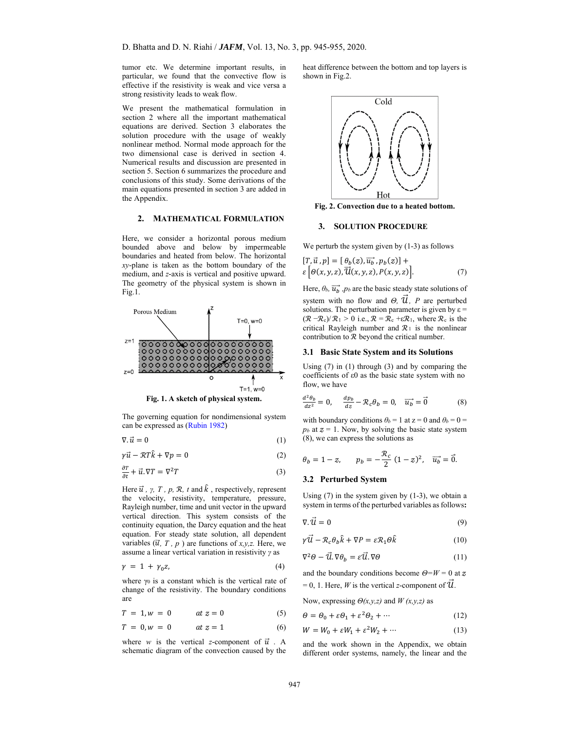tumor etc. We determine important results, in particular, we found that the convective flow is effective if the resistivity is weak and vice versa a strong resistivity leads to weak flow.

We present the mathematical formulation in section 2 where all the important mathematical equations are derived. Section 3 elaborates the solution procedure with the usage of weakly nonlinear method. Normal mode approach for the two dimensional case is derived in section 4. Numerical results and discussion are presented in section 5. Section 6 summarizes the procedure and conclusions of this study. Some derivations of the main equations presented in section 3 are added in the Appendix.

## **2. MATHEMATICAL FORMULATION**

Here, we consider a horizontal porous medium bounded above and below by impermeable boundaries and heated from below. The horizontal *xy*-plane is taken as the bottom boundary of the medium, and *z*-axis is vertical and positive upward. The geometry of the physical system is shown in Fig.1.





The governing equation for nondimensional system can be expressed as (Rubin 1982)

$$
\nabla \cdot \vec{u} = 0 \tag{1}
$$

$$
\gamma \vec{u} - \mathcal{R}T\hat{k} + \nabla p = 0 \tag{2}
$$

$$
\frac{\partial T}{\partial t} + \vec{u}.\,\nabla T = \nabla^2 T\tag{3}
$$

Here  $\vec{u}$ ,  $\gamma$ ,  $T$ ,  $p$ ,  $\Re$ ,  $t$  and  $\hat{k}$ , respectively, represent the velocity, resistivity, temperature, pressure, Rayleigh number, time and unit vector in the upward vertical direction. This system consists of the continuity equation, the Darcy equation and the heat equation. For steady state solution, all dependent variables  $(\vec{u}, T, p)$  are functions of *x,y,z.* Here, we assume a linear vertical variation in resistivity *γ* as

$$
\gamma = 1 + \gamma_0 z,\tag{4}
$$

where  $\gamma_0$  is a constant which is the vertical rate of change of the resistivity. The boundary conditions are

$$
T = 1, w = 0 \qquad at z = 0 \tag{5}
$$

$$
T = 0, w = 0 \qquad at z = 1 \tag{6}
$$

where *w* is the vertical *z*-component of  $\vec{u}$ . A schematic diagram of the convection caused by the heat difference between the bottom and top layers is shown in Fig.2.



**Fig. 2. Convection due to a heated bottom.** 

#### **3. SOLUTION PROCEDURE**

We perturb the system given by  $(1-3)$  as follows

$$
[T, \vec{u}, p] = [\theta_b(z), \overline{u_b}, p_b(z)] +
$$
  

$$
\varepsilon [\theta(x, y, z), \overrightarrow{u}(x, y, z), P(x, y, z)].
$$
 (7)

Here,  $\theta_b$ ,  $\overrightarrow{u_b}$ ,  $p_b$  are the basic steady state solutions of system with no flow and  $\Theta$ ,  $\vec{u}$ , *P* are perturbed solutions. The perturbation parameter is given by  $\varepsilon$  =  $(\mathcal{R} - \mathcal{R}_c)/\mathcal{R}_1 > 0$  i.e.,  $\mathcal{R} = \mathcal{R}_c + \varepsilon \mathcal{R}_1$ , where  $\mathcal{R}_c$  is the critical Rayleigh number and  $\mathcal{R}_1$  is the nonlinear contribution to  $R$  beyond the critical number.

#### **3.1 Basic State System and its Solutions**

Using (7) in (1) through (3) and by comparing the coefficients of ε0 as the basic state system with no flow, we have

$$
\frac{d^2\theta_b}{dz^2} = 0, \quad \frac{dp_b}{dz} - \mathcal{R}_c \theta_b = 0, \quad \overrightarrow{u_b} = \overrightarrow{0}
$$
 (8)

with boundary conditions  $\theta_b = 1$  at  $z = 0$  and  $\theta_b = 0$  $p_b$  at  $z = 1$ . Now, by solving the basic state system (8), we can express the solutions as

$$
\theta_b = 1 - z, \qquad p_b = -\frac{\mathcal{R}_c}{2} (1 - z)^2, \quad \overrightarrow{u_b} = \overrightarrow{0}.
$$

#### **3.2 Perturbed System**

Using  $(7)$  in the system given by  $(1-3)$ , we obtain a system in terms of the perturbed variables as follows**:** 

$$
\nabla \cdot \vec{u} = 0 \tag{9}
$$

$$
\gamma \vec{\mathcal{U}} - \mathcal{R}_c \theta_b \hat{k} + \nabla P = \varepsilon \mathcal{R}_1 \Theta \hat{k} \tag{10}
$$

$$
\nabla^2 \Theta - \vec{u} \cdot \nabla \theta_b = \varepsilon \vec{u} \cdot \nabla \Theta \tag{11}
$$

and the boundary conditions become *Θ=W* = 0 at ऊ  $= 0, 1$ . Here, *W* is the vertical *z*-component of  $\dot{\mathcal{U}}$ .

Now, expressing *Θ(x,y,z)* and *W (x,y,z)* as

$$
\Theta = \Theta_0 + \varepsilon \Theta_1 + \varepsilon^2 \Theta_2 + \cdots \tag{12}
$$

$$
W = W_0 + \varepsilon W_1 + \varepsilon^2 W_2 + \dotsb \tag{13}
$$

and the work shown in the Appendix, we obtain different order systems, namely, the linear and the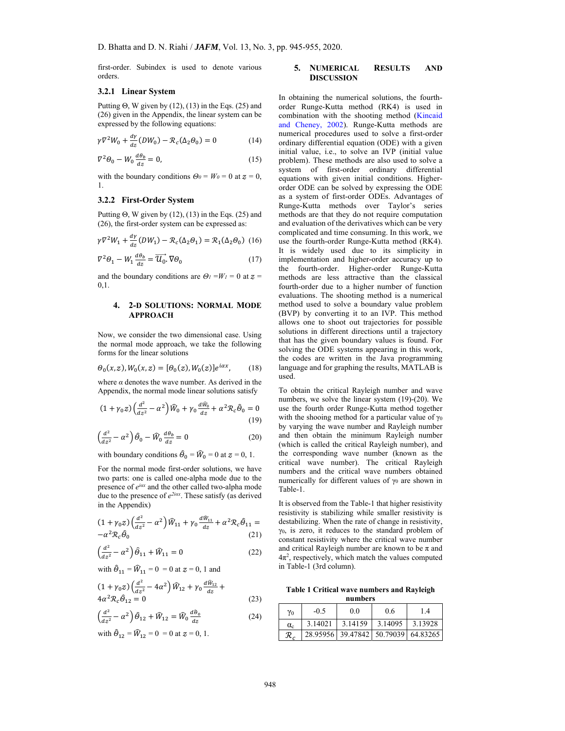first-order. Subindex is used to denote various orders.

#### **3.2.1 Linear System**

Putting  $\Theta$ , W given by (12), (13) in the Eqs. (25) and (26) given in the Appendix, the linear system can be expressed by the following equations:

$$
\gamma \nabla^2 W_0 + \frac{d\gamma}{dz} (DW_0) - \mathcal{R}_c(\Delta_2 \theta_0) = 0 \tag{14}
$$

$$
\nabla^2 \theta_0 - W_0 \frac{d\theta_b}{dz} = 0,\tag{15}
$$

with the boundary conditions  $\Theta_0 = W_0 = 0$  at  $z = 0$ , 1.

## **3.2.2 First-Order System**

Putting  $\Theta$ , W given by (12), (13) in the Eqs. (25) and (26), the first-order system can be expressed as:

$$
\gamma \nabla^2 W_1 + \frac{d\gamma}{dz}(DW_1) - \mathcal{R}_c(\Delta_2 \theta_1) = \mathcal{R}_1(\Delta_2 \theta_0)
$$
 (16)

$$
\nabla^2 \theta_1 - W_1 \frac{d\theta_b}{dz} = \overrightarrow{U_0} \cdot \nabla \theta_0 \tag{17}
$$

and the boundary conditions are  $\Theta$ <sup>1</sup> = 0 at  $z$  = 0,1.

## **4. 2-D SOLUTIONS: NORMAL MODE APPROACH**

Now, we consider the two dimensional case. Using the normal mode approach, we take the following forms for the linear solutions

$$
\Theta_0(x,z), W_0(x,z) = [\Theta_0(z), W_0(z)]e^{i\alpha x}, \qquad (18)
$$

where  $\alpha$  denotes the wave number. As derived in the Appendix, the normal mode linear solutions satisfy

$$
(1 + \gamma_0 z) \left(\frac{d^2}{dz^2} - \alpha^2\right) \widehat{W}_0 + \gamma_0 \frac{d\widehat{W}_0}{dz} + \alpha^2 \mathcal{R}_c \widehat{\theta}_0 = 0
$$
\n(19)

$$
\left(\frac{d^2}{dz^2} - \alpha^2\right)\hat{\theta}_0 - \hat{W}_0 \frac{d\theta_b}{dz} = 0\tag{20}
$$

with boundary conditions  $\hat{\theta}_0 = \hat{W}_0 = 0$  at  $z = 0, 1$ .

For the normal mode first-order solutions, we have two parts: one is called one-alpha mode due to the presence of *eiα<sup>x</sup>* and the other called two-alpha mode due to the presence of  $e^{2i\alpha x}$ . These satisfy (as derived in the Appendix)

$$
(1+\gamma_0 z)\left(\frac{d^2}{dz^2}-\alpha^2\right)\widehat{W}_{11}+\gamma_0\frac{d\widehat{W}_{11}}{dz}+\alpha^2\mathcal{R}_c\widehat{\theta}_{11}=-\alpha^2\mathcal{R}_c\widehat{\theta}_0\hspace{10mm}(21)
$$

$$
\left(\frac{d^2}{dz^2} - \alpha^2\right)\hat{\theta}_{11} + \hat{W}_{11} = 0 \tag{22}
$$

with  $\hat{\theta}_{11} = \hat{W}_{11} = 0 = 0$  at  $z = 0$ , 1 and

$$
(1 + \gamma_0 z) \left(\frac{d^2}{dz^2} - 4\alpha^2\right) \hat{W}_{12} + \gamma_0 \frac{d\hat{W}_{12}}{dz} + 4\alpha^2 \mathcal{R}_c \hat{\theta}_{12} = 0
$$
\n(23)

$$
\left(\frac{d^2}{dz^2} - \alpha^2\right)\hat{\theta}_{12} + \hat{W}_{12} = \hat{W}_0 \frac{d\hat{\theta}_0}{dz} \tag{24}
$$

with  $\hat{\Theta}_{12} = \hat{W}_{12} = 0 = 0$  at  $z = 0, 1$ .

## **5. NUMERICAL RESULTS AND DISCUSSION**

In obtaining the numerical solutions, the fourthorder Runge-Kutta method (RK4) is used in combination with the shooting method (Kincaid and Cheney, 2002). Runge-Kutta methods are numerical procedures used to solve a first-order ordinary differential equation (ODE) with a given initial value, i.e., to solve an IVP (initial value problem). These methods are also used to solve a system of first-order ordinary differential equations with given initial conditions. Higherorder ODE can be solved by expressing the ODE as a system of first-order ODEs. Advantages of Runge-Kutta methods over Taylor's series methods are that they do not require computation and evaluation of the derivatives which can be very complicated and time consuming. In this work, we use the fourth-order Runge-Kutta method (RK4). It is widely used due to its simplicity in implementation and higher-order accuracy up to the fourth-order. Higher-order Runge-Kutta methods are less attractive than the classical fourth-order due to a higher number of function evaluations. The shooting method is a numerical method used to solve a boundary value problem (BVP) by converting it to an IVP. This method allows one to shoot out trajectories for possible solutions in different directions until a trajectory that has the given boundary values is found. For solving the ODE systems appearing in this work, the codes are written in the Java programming language and for graphing the results, MATLAB is used.

To obtain the critical Rayleigh number and wave numbers, we solve the linear system (19)-(20). We use the fourth order Runge-Kutta method together with the shooing method for a particular value of  $\gamma_0$ by varying the wave number and Rayleigh number and then obtain the minimum Rayleigh number (which is called the critical Rayleigh number), and the corresponding wave number (known as the critical wave number). The critical Rayleigh numbers and the critical wave numbers obtained numerically for different values of  $\gamma_0$  are shown in Table-1.

It is observed from the Table-1 that higher resistivity resistivity is stabilizing while smaller resistivity is destabilizing. When the rate of change in resistivity, γ0, is zero, it reduces to the standard problem of constant resistivity where the critical wave number and critical Rayleigh number are known to be  $\pi$  and  $4\pi^2$ , respectively, which match the values computed in Table-1 (3rd column).

**Table 1 Critical wave numbers and Rayleigh** 

| numbers    |         |                   |          |          |
|------------|---------|-------------------|----------|----------|
| $\gamma_0$ | $-0.5$  | 0.0               | 0.6      | 1.4      |
| $\alpha_c$ | 3.14021 | 3.14159           | 3.14095  | 3.13928  |
| R          |         | 28.95956 39.47842 | 50.79039 | 64.83265 |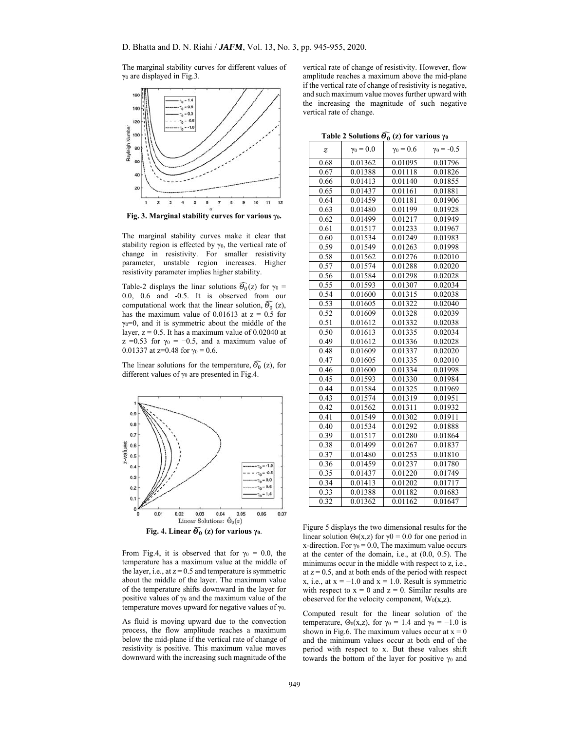The marginal stability curves for different values of γ0 are displayed in Fig.3.



**Fig. 3. Marginal stability curves for various γ0.** 

The marginal stability curves make it clear that stability region is effected by  $\gamma_0$ , the vertical rate of change in resistivity. For smaller resistivity parameter, unstable region increases. Higher resistivity parameter implies higher stability.

Table-2 displays the linar solutions  $\widehat{\Theta_0}(z)$  for  $\gamma_0 =$ 0.0, 0.6 and -0.5. It is observed from our computational work that the linear solution,  $\widehat{\Theta_0}$  (z), has the maximum value of 0.01613 at  $z = 0.5$  for  $\gamma_0=0$ , and it is symmetric about the middle of the layer,  $z = 0.5$ . It has a maximum value of  $0.02040$  at  $z = 0.53$  for  $\gamma_0 = -0.5$ , and a maximum value of 0.01337 at z=0.48 for  $\gamma_0 = 0.6$ .

The linear solutions for the temperature,  $\widehat{\Theta_0}$  (z), for different values of  $\gamma_0$  are presented in Fig.4.



From Fig.4, it is observed that for  $\gamma_0 = 0.0$ , the temperature has a maximum value at the middle of the layer, i.e., at  $z = 0.5$  and temperature is symmetric about the middle of the layer. The maximum value of the temperature shifts downward in the layer for positive values of  $\gamma_0$  and the maximum value of the temperature moves upward for negative values of  $\gamma_0$ .

As fluid is moving upward due to the convection process, the flow amplitude reaches a maximum below the mid-plane if the vertical rate of change of resistivity is positive. This maximum value moves downward with the increasing such magnitude of the

vertical rate of change of resistivity. However, flow amplitude reaches a maximum above the mid-plane if the vertical rate of change of resistivity is negative, and such maximum value moves further upward with the increasing the magnitude of such negative vertical rate of change.

| Table 2 Solutions $\widehat{\Theta_0}(z)$ for various $\gamma_0$ |  |  |
|------------------------------------------------------------------|--|--|
|                                                                  |  |  |

| z    | $\gamma_0 = 0.0$ | $\gamma_0 = 0.6$ | $\gamma_0 = -0.5$ |
|------|------------------|------------------|-------------------|
| 0.68 | 0.01362          | 0.01095          | 0.01796           |
| 0.67 | 0.01388          | 0.01118          | 0.01826           |
| 0.66 | 0.01413          | 0.01140          | 0.01855           |
| 0.65 | 0.01437          | 0.01161          | 0.01881           |
| 0.64 | 0.01459          | 0.01181          | 0.01906           |
| 0.63 | 0.01480          | 0.01199          | 0.01928           |
| 0.62 | 0.01499          | 0.01217          | 0.01949           |
| 0.61 | 0.01517          | 0.01233          | 0.01967           |
| 0.60 | 0.01534          | 0.01249          | 0.01983           |
| 0.59 | 0.01549          | 0.01263          | 0.01998           |
| 0.58 | 0.01562          | 0.01276          | 0.02010           |
| 0.57 | 0.01574          | 0.01288          | 0.02020           |
| 0.56 | 0.01584          | 0.01298          | 0.02028           |
| 0.55 | 0.01593          | 0.01307          | 0.02034           |
| 0.54 | 0.01600          | 0.01315          | 0.02038           |
| 0.53 | 0.01605          | 0.01322          | 0.02040           |
| 0.52 | 0.01609          | 0.01328          | 0.02039           |
| 0.51 | 0.01612          | 0.01332          | 0.02038           |
| 0.50 | 0.01613          | 0.01335          | 0.02034           |
| 0.49 | 0.01612          | 0.01336          | 0.02028           |
| 0.48 | 0.01609          | 0.01337          | 0.02020           |
| 0.47 | 0.01605          | 0.01335          | 0.02010           |
| 0.46 | 0.01600          | 0.01334          | 0.01998           |
| 0.45 | 0.01593          | 0.01330          | 0.01984           |
| 0.44 | 0.01584          | 0.01325          | 0.01969           |
| 0.43 | 0.01574          | 0.01319          | 0.01951           |
| 0.42 | 0.01562          | 0.01311          | 0.01932           |
| 0.41 | 0.01549          | 0.01302          | 0.01911           |
| 0.40 | 0.01534          | 0.01292          | 0.01888           |
| 0.39 | 0.01517          | 0.01280          | 0.01864           |
| 0.38 | 0.01499          | 0.01267          | 0.01837           |
| 0.37 | 0.01480          | 0.01253          | 0.01810           |
| 0.36 | 0.01459          | 0.01237          | 0.01780           |
| 0.35 | 0.01437          | 0.01220          | 0.01749           |
| 0.34 | 0.01413          | 0.01202          | 0.01717           |
| 0.33 | 0.01388          | 0.01182          | 0.01683           |
| 0.32 | 0.01362          | 0.01162          | 0.01647           |

Figure 5 displays the two dimensional results for the linear solution  $\Theta_0(x,z)$  for  $\gamma 0 = 0.0$  for one period in x-direction. For  $\gamma_0 = 0.0$ , The maximum value occurs at the center of the domain, i.e., at (0.0, 0.5). The minimums occur in the middle with respect to z, i.e., at  $z = 0.5$ , and at both ends of the period with respect x, i.e., at  $x = -1.0$  and  $x = 1.0$ . Result is symmetric with respect to  $x = 0$  and  $z = 0$ . Similar results are obeserved for the velocity component,  $W_0(x,z)$ .

Computed result for the linear solution of the temperature,  $\Theta_0(x,z)$ , for  $\gamma_0 = 1.4$  and  $\gamma_0 = -1.0$  is shown in Fig.6. The maximum values occur at  $x = 0$ and the minimum values occur at both end of the period with respect to x. But these values shift towards the bottom of the layer for positive  $\gamma_0$  and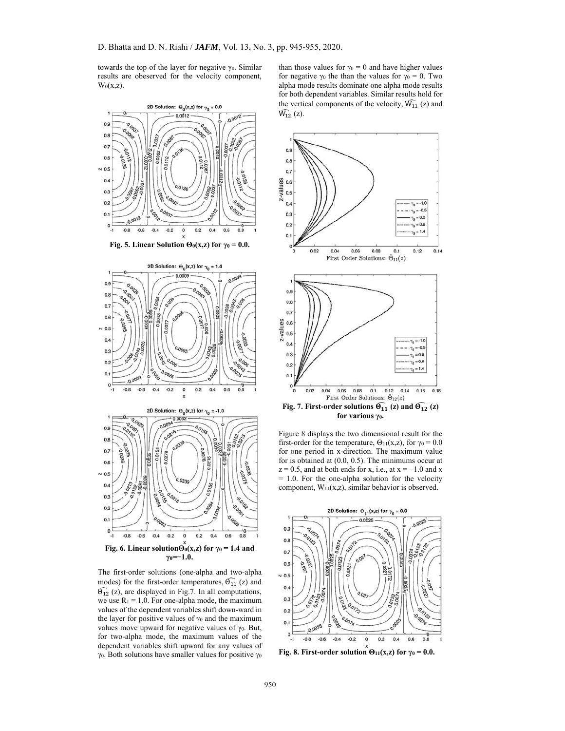towards the top of the layer for negative  $γ<sub>0</sub>$ . Similar results are obeserved for the velocity component,  $W_0(x,z)$ .



The first-order solutions (one-alpha and two-alpha modes) for the first-order temperatures,  $\widehat{\Theta}_{11}$  (z) and  $\widehat{\Theta}_{12}$  (z), are displayed in Fig.7. In all computations, we use  $R_1 = 1.0$ . For one-alpha mode, the maximum values of the dependent variables shift down-ward in the layer for positive values of  $\gamma_0$  and the maximum values move upward for negative values of  $\gamma_0$ . But, for two-alpha mode, the maximum values of the dependent variables shift upward for any values of γ0. Both solutions have smaller values for positive γ0

than those values for  $\gamma_0 = 0$  and have higher values for negative  $\gamma_0$  the than the values for  $\gamma_0 = 0$ . Two alpha mode results dominate one alpha mode results for both dependent variables. Similar results hold for the vertical components of the velocity,  $\widehat{W}_{11}$  (z) and  $\hat{W}_{12}$  (z).



Figure 8 displays the two dimensional result for the first-order for the temperature,  $\Theta_{11}(x, z)$ , for  $\gamma_0 = 0.0$ for one period in x-direction. The maximum value for is obtained at (0.0, 0.5). The minimums occur at  $z = 0.5$ , and at both ends for x, i.e., at  $x = -1.0$  and x = 1.0. For the one-alpha solution for the velocity component,  $W_{11}(x,z)$ , similar behavior is observed.



**Fig. 8. First-order solution**  $\Theta_{11}(x,z)$  **for**  $\gamma_0 = 0.0$ **.**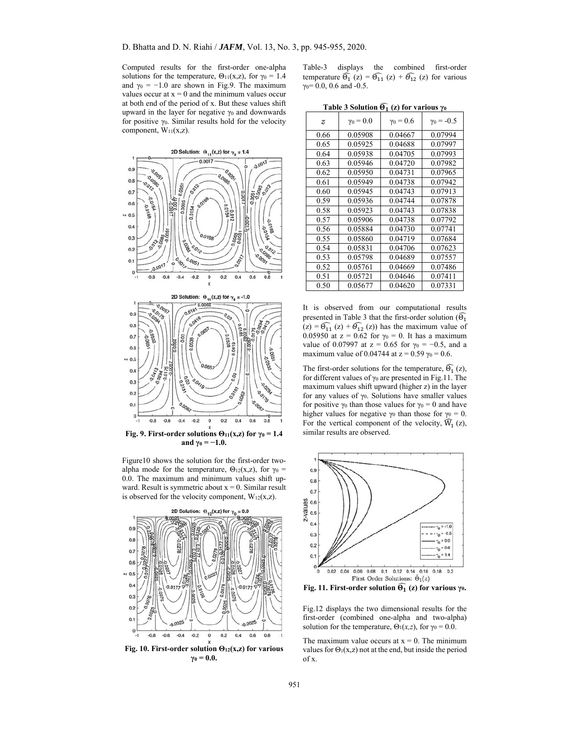Computed results for the first-order one-alpha solutions for the temperature,  $\Theta_{11}(x,z)$ , for  $\gamma_0 = 1.4$ and  $\gamma_0 = -1.0$  are shown in Fig.9. The maximum values occur at  $x = 0$  and the minimum values occur at both end of the period of x. But these values shift upward in the layer for negative γ0 and downwards for positive  $\gamma_0$ . Similar results hold for the velocity component,  $W_{11}(x,z)$ .



**Fig. 9. First-order solutions**  $\Theta_{11}(x,z)$  **for**  $\gamma_0 = 1.4$ **and**  $\gamma_0 = -1.0$ .

Figure10 shows the solution for the first-order twoalpha mode for the temperature,  $\Theta_{12}(x, z)$ , for  $\gamma_0 =$ 0.0. The maximum and minimum values shift upward. Result is symmetric about  $x = 0$ . Similar result is observed for the velocity component,  $W_{12}(x, z)$ .



Table-3 displays the combined first-order temperature  $\widehat{\Theta}_1(z) = \widehat{\Theta}_{11}(z) + \widehat{\Theta}_{12}(z)$  for various  $γ<sub>0</sub> = 0.0, 0.6$  and  $-0.5$ .

| <b>LADIC 3 SORTION O</b> $\left\{ \left( \mathbf{z} \right)$ for various $\gamma_0$ |                  |                  |             |  |  |
|-------------------------------------------------------------------------------------|------------------|------------------|-------------|--|--|
| Z                                                                                   | $\gamma_0 = 0.0$ | $\gamma_0 = 0.6$ | $γ0 = -0.5$ |  |  |
| 0.66                                                                                | 0.05908          | 0.04667          | 0.07994     |  |  |
| 0.65                                                                                | 0.05925          | 0.04688          | 0.07997     |  |  |
| 0.64                                                                                | 0.05938          | 0.04705          | 0.07993     |  |  |
| 0.63                                                                                | 0.05946          | 0.04720          | 0.07982     |  |  |
| 0.62                                                                                | 0.05950          | 0.04731          | 0.07965     |  |  |
| 0.61                                                                                | 0.05949          | 0.04738          | 0.07942     |  |  |
| 0.60                                                                                | 0.05945          | 0.04743          | 0.07913     |  |  |
| 0.59                                                                                | 0.05936          | 0.04744          | 0.07878     |  |  |
| 0.58                                                                                | 0.05923          | 0.04743          | 0.07838     |  |  |
| 0.57                                                                                | 0.05906          | 0.04738          | 0.07792     |  |  |
| 0.56                                                                                | 0.05884          | 0.04730          | 0.07741     |  |  |
| 0.55                                                                                | 0.05860          | 0.04719          | 0.07684     |  |  |
| 0.54                                                                                | 0.05831          | 0.04706          | 0.07623     |  |  |
| 0.53                                                                                | 0.05798          | 0.04689          | 0.07557     |  |  |
| 0.52                                                                                | 0.05761          | 0.04669          | 0.07486     |  |  |
| 0.51                                                                                | 0.05721          | 0.04646          | 0.07411     |  |  |
| 0.50                                                                                | 0.05677          | 0.04620          | 0.07331     |  |  |

**Table 3 Solution** દ  **(z) for various γ<sup>0</sup>**

It is observed from our computational results presented in Table 3 that the first-order solution ( $\widehat{\Theta_1}$  $(z) = \widehat{\Theta}_{11}(z) + \widehat{\Theta}_{12}(z)$  has the maximum value of 0.05950 at  $z = 0.62$  for  $\gamma_0 = 0$ . It has a maximum value of 0.07997 at  $z = 0.65$  for  $\gamma_0 = -0.5$ , and a maximum value of 0.04744 at  $z = 0.59$   $\gamma_0 = 0.6$ .

The first-order solutions for the temperature,  $\widehat{\Theta}_1$  (z), for different values of  $\gamma_0$  are presented in Fig.11. The maximum values shift upward (higher z) in the layer for any values of  $\gamma_0$ . Solutions have smaller values for positive  $\gamma_0$  than those values for  $\gamma_0 = 0$  and have higher values for negative  $\gamma_0$  than those for  $\gamma_0 = 0$ . For the vertical component of the velocity,  $\widehat{W}_1(z)$ , similar results are observed.



**Fig. 11. First-order solution** દ  **(z) for various γ0.** 

Fig.12 displays the two dimensional results for the first-order (combined one-alpha and two-alpha) solution for the temperature,  $\Theta_1(x,z)$ , for  $\gamma_0 = 0.0$ .

The maximum value occurs at  $x = 0$ . The minimum values for  $\Theta_1(x,z)$  not at the end, but inside the period of x.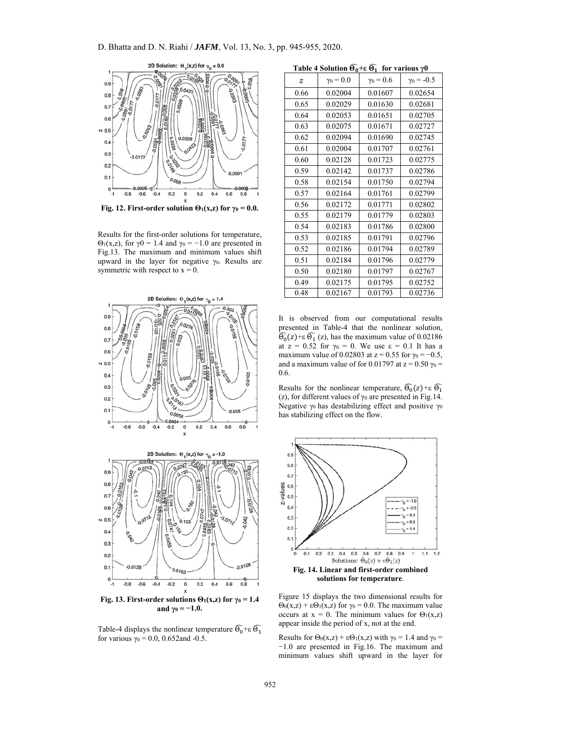

**Fig. 12. First-order solution**  $\Theta_1(x,z)$  **for**  $\gamma_0 = 0.0$ **.** 

Results for the first-order solutions for temperature,  $Θ_1(x,z)$ , for  $\gamma$ 0 = 1.4 and  $\gamma$ <sub>0</sub> = -1.0 are presented in Fig.13. The maximum and minimum values shift upward in the layer for negative  $γ_0$ . Results are symmetric with respect to  $x = 0$ .



**Fig. 13. First-order solutions**  $\Theta_1(x,z)$  **for**  $\gamma_0 = 1.4$ **and**  $\gamma_0 = -1.0$ .

Table-4 displays the nonlinear temperature  $\widehat{\Theta_0}$ +ε  $\widehat{\Theta_1}$ for various  $\gamma_0 = 0.0$ , 0.652 and -0.5.

| Table 4 Solution $\widehat{\Theta_0}$ + $\varepsilon \widehat{\Theta_1}$ for various $\gamma 0$ |                  |                  |                   |  |
|-------------------------------------------------------------------------------------------------|------------------|------------------|-------------------|--|
| $\overline{z}$                                                                                  | $\gamma_0 = 0.0$ | $\gamma_0 = 0.6$ | $\gamma_0 = -0.5$ |  |
| 0.66                                                                                            | 0.02004          | 0.01607          | 0.02654           |  |
| 0.65                                                                                            | 0.02029          | 0.01630          | 0.02681           |  |
| 0.64                                                                                            | 0.02053          | 0.01651          | 0.02705           |  |
| 0.63                                                                                            | 0.02075          | 0.01671          | 0.02727           |  |
| 0.62                                                                                            | 0.02094          | 0.01690          | 0.02745           |  |
| 0.61                                                                                            | 0.02004          | 0.01707          | 0.02761           |  |
| 0.60                                                                                            | 0.02128          | 0.01723          | 0.02775           |  |
| 0.59                                                                                            | 0.02142          | 0.01737          | 0.02786           |  |
| 0.58                                                                                            | 0.02154          | 0.01750          | 0.02794           |  |
| 0.57                                                                                            | 0.02164          | 0.01761          | 0.02799           |  |
| 0.56                                                                                            | 0.02172          | 0.01771          | 0.02802           |  |
| 0.55                                                                                            | 0.02179          | 0.01779          | 0.02803           |  |
| 0.54                                                                                            | 0.02183          | 0.01786          | 0.02800           |  |
| 0.53                                                                                            | 0.02185          | 0.01791          | 0.02796           |  |
| 0.52                                                                                            | 0.02186          | 0.01794          | 0.02789           |  |
| 0.51                                                                                            | 0.02184          | 0.01796          | 0.02779           |  |
| 0.50                                                                                            | 0.02180          | 0.01797          | 0.02767           |  |
| 0.49                                                                                            | 0.02175          | 0.01795          | 0.02752           |  |
| 0.48                                                                                            | 0.02167          | 0.01793          | 0.02736           |  |
|                                                                                                 |                  |                  |                   |  |

**+ε** દ

**Table 4 Solution** દ

It is observed from our computational results presented in Table-4 that the nonlinear solution,  $\widehat{\Theta_0}(z)$ +ε  $\widehat{\Theta_1}(z)$ , has the maximum value of 0.02186 at  $z = 0.52$  for  $\gamma_0 = 0$ . We use  $\varepsilon = 0.1$  It has a maximum value of 0.02803 at  $z = 0.55$  for  $\gamma_0 = -0.5$ , and a maximum value of for 0.01797 at  $z = 0.50$   $\gamma_0 =$ 0.6.

Results for the nonlinear temperature,  $\widehat{\Theta_0}(z) + \varepsilon \widehat{\Theta_1}$ (z), for different values of  $\gamma_0$  are presented in Fig.14. Negative  $γ_0$  has destabilizing effect and positive  $γ_0$ has stabilizing effect on the flow.



Figure 15 displays the two dimensional results for  $\Theta_0(x,z) + \varepsilon \Theta_1(x,z)$  for  $\gamma_0 = 0.0$ . The maximum value occurs at  $x = 0$ . The minimum values for  $\Theta_1(x,z)$ appear inside the period of x, not at the end.

Results for  $\Theta_0(x,z) + \epsilon \Theta_1(x,z)$  with  $\gamma_0 = 1.4$  and  $\gamma_0 =$ −1.0 are presented in Fig.16. The maximum and minimum values shift upward in the layer for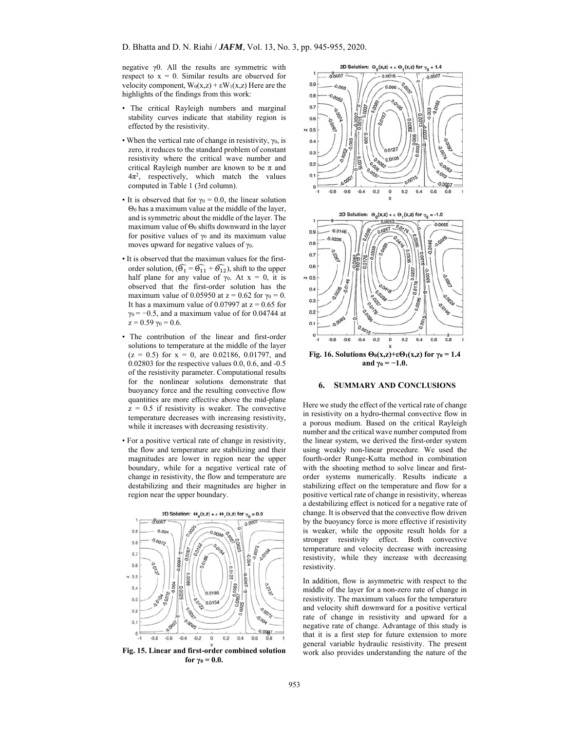negative γ0. All the results are symmetric with respect to  $x = 0$ . Similar results are observed for velocity component,  $W_0(x,z) + \varepsilon W_1(x,z)$  Here are the highlights of the findings from this work:

- The critical Rayleigh numbers and marginal stability curves indicate that stability region is effected by the resistivity.
- When the vertical rate of change in resistivity,  $\gamma_0$ , is zero, it reduces to the standard problem of constant resistivity where the critical wave number and critical Rayleigh number are known to be  $\pi$  and  $4\pi^2$ , respectively, which match the values computed in Table 1 (3rd column).
- It is observed that for  $\gamma_0 = 0.0$ , the linear solution Θ0 has a maximum value at the middle of the layer, and is symmetric about the middle of the layer. The maximum value of  $\Theta_0$  shifts downward in the layer for positive values of  $\gamma_0$  and its maximum value moves upward for negative values of  $\gamma_0$ .
- It is observed that the maximun values for the firstorder solution,  $(\widehat{\Theta}_1 = \widehat{\Theta}_{11} + \widehat{\Theta}_{12})$ , shift to the upper half plane for any value of  $\gamma_0$ . At  $x = 0$ , it is observed that the first-order solution has the maximum value of 0.05950 at  $z = 0.62$  for  $\gamma_0 = 0$ . It has a maximum value of 0.07997 at  $z = 0.65$  for  $\gamma_0$  = -0.5, and a maximum value of for 0.04744 at  $z = 0.59 \gamma_0 = 0.6$ .
- The contribution of the linear and first-order solutions to temperature at the middle of the layer  $(z = 0.5)$  for  $x = 0$ , are 0.02186, 0.01797, and 0.02803 for the respective values 0.0, 0.6, and -0.5 of the resistivity parameter. Computational results for the nonlinear solutions demonstrate that buoyancy force and the resulting convective flow quantities are more effective above the mid-plane  $z = 0.5$  if resistivity is weaker. The convective temperature decreases with increasing resistivity, while it increases with decreasing resistivity.
- For a positive vertical rate of change in resistivity, the flow and temperature are stabilizing and their magnitudes are lower in region near the upper boundary, while for a negative vertical rate of change in resistivity, the flow and temperature are destabilizing and their magnitudes are higher in region near the upper boundary.



**Fig. 15. Linear and first-order combined solution for**  $γ_0 = 0.0$ .



### **6. SUMMARY AND CONCLUSIONS**

Here we study the effect of the vertical rate of change in resistivity on a hydro-thermal convective flow in a porous medium. Based on the critical Rayleigh number and the critical wave number computed from the linear system, we derived the first-order system using weakly non-linear procedure. We used the fourth-order Runge-Kutta method in combination with the shooting method to solve linear and firstorder systems numerically. Results indicate a stabilizing effect on the temperature and flow for a positive vertical rate of change in resistivity, whereas a destabilizing effect is noticed for a negative rate of change. It is observed that the convective flow driven by the buoyancy force is more effective if resistivity is weaker, while the opposite result holds for a stronger resistivity effect. Both convective temperature and velocity decrease with increasing resistivity, while they increase with decreasing resistivity.

In addition, flow is asymmetric with respect to the middle of the layer for a non-zero rate of change in resistivity. The maximum values for the temperature and velocity shift downward for a positive vertical rate of change in resistivity and upward for a negative rate of change. Advantage of this study is that it is a first step for future extension to more general variable hydraulic resistivity. The present work also provides understanding the nature of the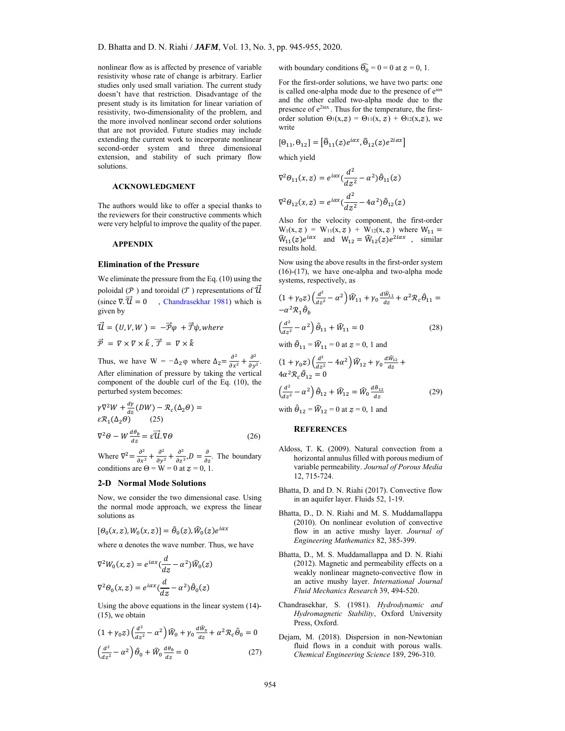nonlinear flow as is affected by presence of variable resistivity whose rate of change is arbitrary. Earlier studies only used small variation. The current study doesn't have that restriction. Disadvantage of the present study is its limitation for linear variation of resistivity, two-dimensionality of the problem, and the more involved nonlinear second order solutions that are not provided. Future studies may include extending the current work to incorporate nonlinear second-order system and three dimensional extension, and stability of such primary flow solutions.

### **ACKNOWLEDGMENT**

The authors would like to offer a special thanks to the reviewers for their constructive comments which were very helpful to improve the quality of the paper.

## **APPENDIX**

## **Elimination of the Pressure**

We eliminate the pressure from the Eq. (10) using the poloidal ( $\mathcal P$ ) and toroidal ( $\mathcal T$ ) representations of  $\mathcal U$ (since  $\nabla \cdot \vec{u} = 0$ , Chandrasekhar 1981) which is given by

$$
\vec{\mathcal{U}} = (U, V, W) = -\vec{\mathcal{P}}\varphi + \vec{\mathcal{T}}\psi, \text{where}
$$
\n
$$
\vec{\mathcal{P}} = \nabla \times \nabla \times \hat{k}, \vec{\mathcal{T}} = \nabla \times \hat{k}
$$

Thus, we have  $W = -\Delta_2 \varphi$  where  $\Delta_2 = \frac{\partial^2}{\partial x^2} + \frac{\partial^2}{\partial y^2}$ . After elimination of pressure by taking the vertical component of the double curl of the Eq. (10), the perturbed system becomes:

$$
\gamma \nabla^2 W + \frac{d\gamma}{dz} (DW) - \mathcal{R}_c(\Delta_2 \theta) =
$$
  
\n
$$
\varepsilon \mathcal{R}_1(\Delta_2 \theta) \qquad (25)
$$
  
\n
$$
\nabla^2 \theta - W \frac{d\theta_b}{dz} = \varepsilon \overrightarrow{U} \cdot \nabla \theta \qquad (26)
$$

Where  $\nabla^2 = \frac{\partial^2}{\partial x^2} + \frac{\partial^2}{\partial y^2} + \frac{\partial^2}{\partial z^2}$ ,  $D = \frac{\partial}{\partial z}$ . The boundary conditions are  $\Theta = W = 0$  at  $z = 0, 1$ .

#### **2-D Normal Mode Solutions**

Now, we consider the two dimensional case. Using the normal mode approach, we express the linear solutions as

$$
[\theta_0(x,z),W_0(x,z)]=\hat{\theta}_0(z),\hat{W}_0(z)e^{i\alpha x}
$$

where  $\alpha$  denotes the wave number. Thus, we have

$$
\nabla^2 W_0(x, z) = e^{i\alpha x} \left(\frac{d}{dz} - \alpha^2\right) \hat{W}_0(z)
$$

$$
\nabla^2 \theta_0(x, z) = e^{i\alpha x} \left(\frac{d}{dz} - \alpha^2\right) \hat{\theta}_0(z)
$$

Using the above equations in the linear system (14)- (15), we obtain

$$
(1 + \gamma_0 z) \left(\frac{d^2}{dz^2} - \alpha^2\right) \widehat{W}_0 + \gamma_0 \frac{d\widehat{W}_0}{dz} + \alpha^2 \mathcal{R}_c \widehat{\theta}_0 = 0
$$
  

$$
\left(\frac{d^2}{dz^2} - \alpha^2\right) \widehat{\theta}_0 + \widehat{W}_0 \frac{d\theta_b}{dz} = 0
$$
 (27)

with boundary conditions  $\widehat{\Theta_0} = 0 = 0$  at  $z = 0, 1$ .

For the first-order solutions, we have two parts: one is called one-alpha mode due to the presence of eiax and the other called two-alpha mode due to the presence of  $e^{2i\alpha x}$ . Thus for the temperature, the firstorder solution  $\Theta_1(x,z) = \Theta_{11}(x, z) + \Theta_{12}(x,z)$ , we write

$$
[\Theta_{11}, \Theta_{12}] = [\widehat{\Theta}_{11}(z)e^{i\alpha x}, \widehat{\Theta}_{12}(z)e^{2i\alpha x}]
$$
  
which yield

$$
\nabla^2 \theta_{11}(x, z) = e^{i\alpha x} \left(\frac{d^2}{dz^2} - \alpha^2\right) \hat{\theta}_{11}(z)
$$

$$
\nabla^2 \theta_{12}(x, z) = e^{i\alpha x} \left(\frac{d^2}{dz^2} - 4\alpha^2\right) \hat{\theta}_{12}(z)
$$

Also for the velocity component, the first-order  $W_1(x, z) = W_{11}(x, z) + W_{12}(x, z)$  where  $W_{11} =$  $\widehat{W}_{11}(z)e^{i\alpha x}$  and  $W_{12} = \widehat{W}_{12}(z)e^{i\alpha x}$ , similar results hold.

Now using the above results in the first-order system (16)-(17), we have one-alpha and two-alpha mode systems, respectively, as

$$
(1+\gamma_0 z)\left(\frac{d^2}{dz^2}-\alpha^2\right)\widehat{W}_{11}+\gamma_0\frac{d\widehat{W}_{11}}{dz}+\alpha^2\mathcal{R}_c\widehat{\theta}_{11}=-\alpha^2\mathcal{R}_1\widehat{\theta}_b
$$

$$
\left(\frac{d^2}{dz^2} - \alpha^2\right)\hat{\theta}_{11} + \hat{W}_{11} = 0\tag{28}
$$

with  $\hat{\theta}_{11} = \hat{W}_{11} = 0$  at  $z = 0$ , 1 and

$$
(1 + \gamma_0 z) \left(\frac{d^2}{dz^2} - 4\alpha^2\right) \widehat{W}_{12} + \gamma_0 \frac{d \widehat{W}_{12}}{dz} + 4\alpha^2 \mathcal{R}_c \widehat{\theta}_{12} = 0
$$
  

$$
\left(\frac{d^2}{dz^2} - \alpha^2\right) \widehat{\theta}_{12} + \widehat{W}_{12} = \widehat{W}_0 \frac{d \widehat{\theta}_{12}}{dz}
$$
 (29)

with  $\hat{\Theta}_{12} = \hat{W}_{12} = 0$  at  $z = 0$ , 1 and

## **REFERENCES**

- Aldoss, T. K. (2009). Natural convection from a horizontal annulus filled with porous medium of variable permeability. *Journal of Porous Media* 12, 715-724.
- Bhatta, D. and D. N. Riahi (2017). Convective flow in an aquifer layer. Fluids 52, 1-19.
- Bhatta, D., D. N. Riahi and M. S. Muddamallappa (2010). On nonlinear evolution of convective flow in an active mushy layer. *Journal of Engineering Mathematics* 82, 385-399.
- Bhatta, D., M. S. Muddamallappa and D. N. Riahi (2012). Magnetic and permeability effects on a weakly nonlinear magneto-convective flow in an active mushy layer. *International Journal Fluid Mechanics Research* 39, 494-520.
- Chandrasekhar, S. (1981). *Hydrodynamic and Hydromagnetic Stability*, Oxford University Press, Oxford.
- Dejam, M. (2018). Dispersion in non-Newtonian fluid flows in a conduit with porous walls. *Chemical Engineering Science* 189, 296-310.